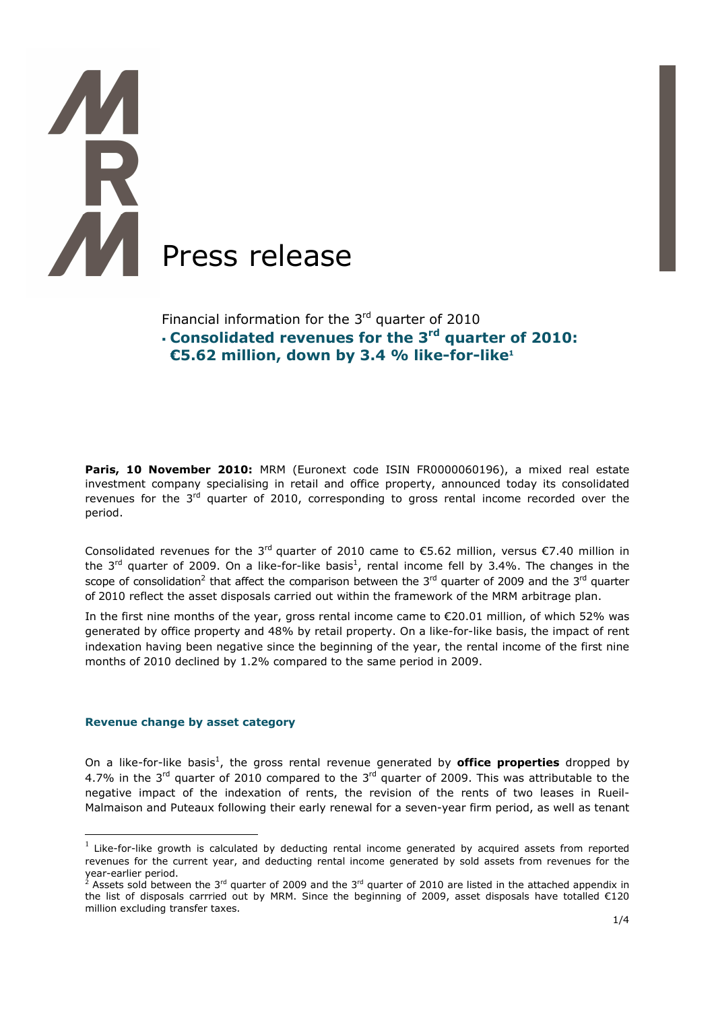

# Financial information for the  $3<sup>rd</sup>$  quarter of 2010 **Consolidated revenues for the 3rd quarter of 2010: €5.62 million, down by 3.4 % like-for-like<sup>1</sup>**

**Paris, 10 November 2010:** MRM (Euronext code ISIN FR0000060196), a mixed real estate investment company specialising in retail and office property, announced today its consolidated revenues for the  $3^{rd}$  quarter of 2010, corresponding to gross rental income recorded over the period.

Consolidated revenues for the 3<sup>rd</sup> quarter of 2010 came to  $\epsilon$ 5.62 million, versus  $\epsilon$ 7.40 million in the 3<sup>rd</sup> quarter of 2009. On a like-for-like basis<sup>1</sup>, rental income fell by 3.4%. The changes in the scope of consolidation<sup>2</sup> that affect the comparison between the 3<sup>rd</sup> quarter of 2009 and the 3<sup>rd</sup> quarter of 2010 reflect the asset disposals carried out within the framework of the MRM arbitrage plan.

In the first nine months of the year, gross rental income came to €20.01 million, of which 52% was generated by office property and 48% by retail property. On a like-for-like basis, the impact of rent indexation having been negative since the beginning of the year, the rental income of the first nine months of 2010 declined by 1.2% compared to the same period in 2009.

#### **Revenue change by asset category**

 $\overline{a}$ 

On a like-for-like basis<sup>1</sup>, the gross rental revenue generated by **office properties** dropped by 4.7% in the 3<sup>rd</sup> quarter of 2010 compared to the 3<sup>rd</sup> quarter of 2009. This was attributable to the negative impact of the indexation of rents, the revision of the rents of two leases in Rueil-Malmaison and Puteaux following their early renewal for a seven-year firm period, as well as tenant

 $<sup>1</sup>$  Like-for-like growth is calculated by deducting rental income generated by acquired assets from reported</sup> revenues for the current year, and deducting rental income generated by sold assets from revenues for the year-earlier period.<br><sup>2</sup> Assets sold between the 3<sup>rd</sup> quarter of 2009 and the 3<sup>rd</sup> quarter of 2010 are listed in the attached appendix in

the list of disposals carrried out by MRM. Since the beginning of 2009, asset disposals have totalled €120 million excluding transfer taxes.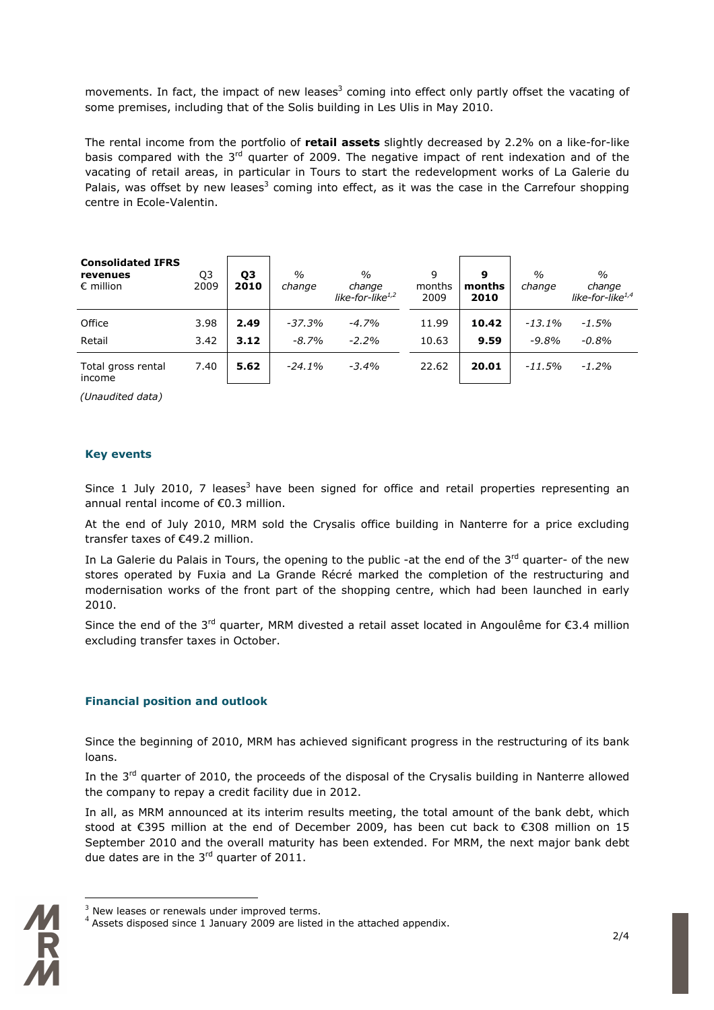movements. In fact, the impact of new leases<sup>3</sup> coming into effect only partly offset the vacating of some premises, including that of the Solis building in Les Ulis in May 2010.

The rental income from the portfolio of **retail assets** slightly decreased by 2.2% on a like-for-like basis compared with the  $3<sup>rd</sup>$  quarter of 2009. The negative impact of rent indexation and of the vacating of retail areas, in particular in Tours to start the redevelopment works of La Galerie du Palais, was offset by new leases<sup>3</sup> coming into effect, as it was the case in the Carrefour shopping centre in Ecole-Valentin.

| <b>Consolidated IFRS</b><br>revenues<br>$\epsilon$ million | Q3<br>2009 | Q3<br>2010 | $\frac{0}{0}$<br>change | $\frac{0}{0}$<br>change<br>like-for-like $1/2$ | 9<br>months<br>2009 | 9<br>months<br>2010 | $\frac{0}{0}$<br>change | $\frac{0}{0}$<br>change<br>like-for-like $^{1,4}$ |
|------------------------------------------------------------|------------|------------|-------------------------|------------------------------------------------|---------------------|---------------------|-------------------------|---------------------------------------------------|
| Office                                                     | 3.98       | 2.49       | $-37.3%$                | $-4.7%$                                        | 11.99               | 10.42               | $-13.1\%$               | -1.5%                                             |
| Retail                                                     | 3.42       | 3.12       | $-8.7%$                 | $-2.2%$                                        | 10.63               | 9.59                | $-9.8%$                 | $-0.8%$                                           |
| Total gross rental<br>income                               | 7.40       | 5.62       | $-24.1%$                | $-3.4%$                                        | 22.62               | 20.01               | $-11.5%$                | $-1.2\%$                                          |

 *(Unaudited data)* 

## **Key events**

Since 1 July 2010, 7 leases<sup>3</sup> have been signed for office and retail properties representing an annual rental income of €0.3 million.

At the end of July 2010, MRM sold the Crysalis office building in Nanterre for a price excluding transfer taxes of €49.2 million.

In La Galerie du Palais in Tours, the opening to the public -at the end of the 3<sup>rd</sup> quarter- of the new stores operated by Fuxia and La Grande Récré marked the completion of the restructuring and modernisation works of the front part of the shopping centre, which had been launched in early 2010.

Since the end of the 3<sup>rd</sup> quarter, MRM divested a retail asset located in Angoulême for €3.4 million excluding transfer taxes in October.

## **Financial position and outlook**

Since the beginning of 2010, MRM has achieved significant progress in the restructuring of its bank loans.

In the  $3<sup>rd</sup>$  quarter of 2010, the proceeds of the disposal of the Crysalis building in Nanterre allowed the company to repay a credit facility due in 2012.

In all, as MRM announced at its interim results meeting, the total amount of the bank debt, which stood at €395 million at the end of December 2009, has been cut back to €308 million on 15 September 2010 and the overall maturity has been extended. For MRM, the next major bank debt due dates are in the 3<sup>rd</sup> quarter of 2011.

Assets disposed since 1 January 2009 are listed in the attached appendix.



 $\overline{a}$ 

 $3$  New leases or renewals under improved terms.<br> $4$  Assets diaposed since 1 January 2000 are listed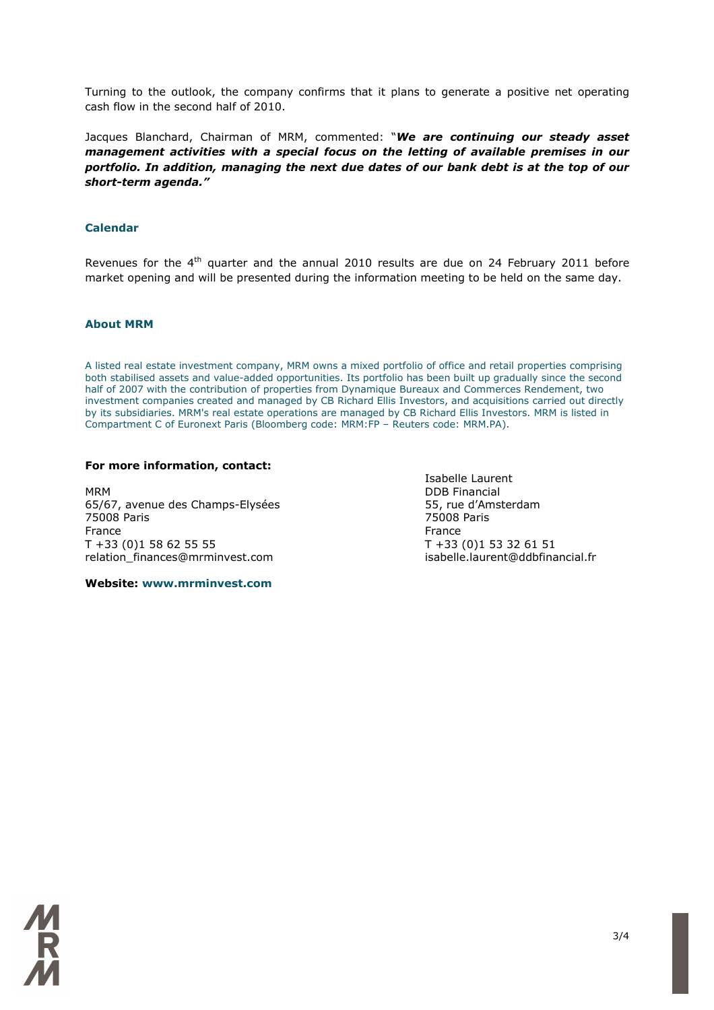Turning to the outlook, the company confirms that it plans to generate a positive net operating cash flow in the second half of 2010.

Jacques Blanchard, Chairman of MRM, commented: "*We are continuing our steady asset management activities with a special focus on the letting of available premises in our portfolio. In addition, managing the next due dates of our bank debt is at the top of our short-term agenda."* 

### **Calendar**

Revenues for the 4<sup>th</sup> quarter and the annual 2010 results are due on 24 February 2011 before market opening and will be presented during the information meeting to be held on the same day.

#### **About MRM**

A listed real estate investment company, MRM owns a mixed portfolio of office and retail properties comprising both stabilised assets and value-added opportunities. Its portfolio has been built up gradually since the second half of 2007 with the contribution of properties from Dynamique Bureaux and Commerces Rendement, two investment companies created and managed by CB Richard Ellis Investors, and acquisitions carried out directly by its subsidiaries. MRM's real estate operations are managed by CB Richard Ellis Investors. MRM is listed in Compartment C of Euronext Paris (Bloomberg code: MRM:FP – Reuters code: MRM.PA).

#### **For more information, contact:**

MRM DDB Financial 65/67, avenue des Champs-Elysées 55, rue d'Amsterdam 75008 Paris 75008 Paris France **France France** T +33 (0)1 58 62 55 55 T +33 (0)1 53 32 61 51 relation\_finances@mrminvest.com

Isabelle Laurent

**Website: www.mrminvest.com**